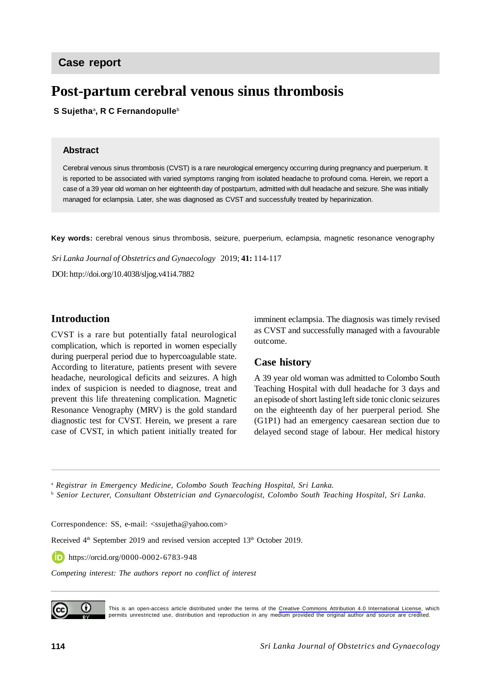# **Post-partum cerebral venous sinus thrombosis**

 **S Sujetha**<sup>a</sup> **, R C Fernandopulle**<sup>b</sup>

#### **Abstract**

Cerebral venous sinus thrombosis (CVST) is a rare neurological emergency occurring during pregnancy and puerperium. It is reported to be associated with varied symptoms ranging from isolated headache to profound coma. Herein, we report a case of a 39 year old woman on her eighteenth day of postpartum, admitted with dull headache and seizure. She was initially managed for eclampsia. Later, she was diagnosed as CVST and successfully treated by heparinization.

**Key words:** cerebral venous sinus thrombosis, seizure, puerperium, eclampsia, magnetic resonance venography

*Sri Lanka Journal of Obstetrics and Gynaecology* 2019; **41:** 114-117

DOI: http://doi.org/10.4038/sljog.v41i4.7882

## **Introduction**

CVST is a rare but potentially fatal neurological complication, which is reported in women especially during puerperal period due to hypercoagulable state. According to literature, patients present with severe headache, neurological deficits and seizures. A high index of suspicion is needed to diagnose, treat and prevent this life threatening complication. Magnetic Resonance Venography (MRV) is the gold standard diagnostic test for CVST. Herein, we present a rare case of CVST, in which patient initially treated for

imminent eclampsia. The diagnosis was timely revised as CVST and successfully managed with a favourable outcome.

#### **Case history**

A 39 year old woman was admitted to Colombo South Teaching Hospital with dull headache for 3 days and an episode of short lasting left side tonic clonic seizures on the eighteenth day of her puerperal period. She (G1P1) had an emergency caesarean section due to delayed second stage of labour. Her medical history

<sup>a</sup> *Registrar in Emergency Medicine, Colombo South Teaching Hospital, Sri Lanka.*

b  *Senior Lecturer, Consultant Obstetrician and Gynaecologist, Colombo South Teaching Hospital, Sri Lanka.*

Correspondence: SS, e-mail: <ssujetha@yahoo.com>

Received 4<sup>th</sup> September 2019 and revised version accepted 13<sup>th</sup> October 2019.

https://orcid.org/0000-0002-6783-948

*Competing interest: The authors report no conflict of interest*



This is an open-access article distributed under the terms of the [Creative Commons Attribution 4.0 International License](https://creativecommons.org/licenses/by/4.0/), which permits unrestricted use, distribution and reproduction in any medium provided the original author and source are credited.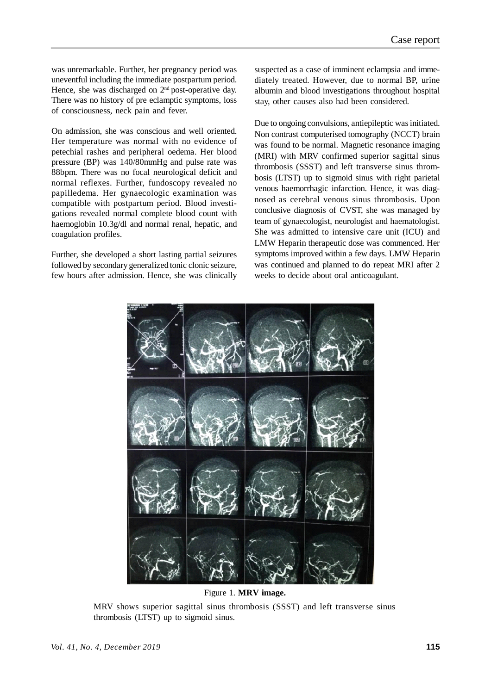was unremarkable. Further, her pregnancy period was uneventful including the immediate postpartum period. Hence, she was discharged on  $2<sup>nd</sup>$  post-operative day. There was no history of pre eclamptic symptoms, loss of consciousness, neck pain and fever.

On admission, she was conscious and well oriented. Her temperature was normal with no evidence of petechial rashes and peripheral oedema. Her blood pressure (BP) was 140/80mmHg and pulse rate was 88bpm. There was no focal neurological deficit and normal reflexes. Further, fundoscopy revealed no papilledema. Her gynaecologic examination was compatible with postpartum period. Blood investigations revealed normal complete blood count with haemoglobin 10.3g/dl and normal renal, hepatic, and coagulation profiles.

Further, she developed a short lasting partial seizures followed by secondary generalized tonic clonic seizure, few hours after admission. Hence, she was clinically

suspected as a case of imminent eclampsia and immediately treated. However, due to normal BP, urine albumin and blood investigations throughout hospital stay, other causes also had been considered.

Due to ongoing convulsions, antiepileptic was initiated. Non contrast computerised tomography (NCCT) brain was found to be normal. Magnetic resonance imaging (MRI) with MRV confirmed superior sagittal sinus thrombosis (SSST) and left transverse sinus thrombosis (LTST) up to sigmoid sinus with right parietal venous haemorrhagic infarction. Hence, it was diagnosed as cerebral venous sinus thrombosis. Upon conclusive diagnosis of CVST, she was managed by team of gynaecologist, neurologist and haematologist. She was admitted to intensive care unit (ICU) and LMW Heparin therapeutic dose was commenced. Her symptoms improved within a few days. LMW Heparin was continued and planned to do repeat MRI after 2 weeks to decide about oral anticoagulant.



Figure 1. **MRV image.**

MRV shows superior sagittal sinus thrombosis (SSST) and left transverse sinus thrombosis (LTST) up to sigmoid sinus.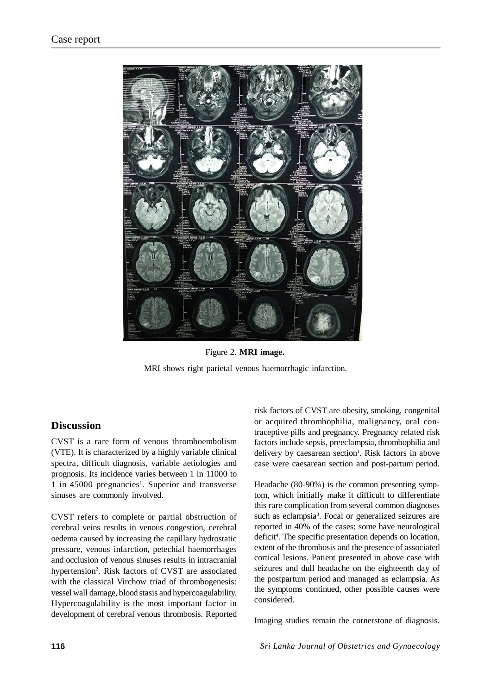

Figure 2. **MRI image.** MRI shows right parietal venous haemorrhagic infarction.

# **Discussion**

CVST is a rare form of venous thromboembolism (VTE). It is characterized by a highly variable clinical spectra, difficult diagnosis, variable aetiologies and prognosis. Its incidence varies between 1 in 11000 to 1 in 45000 pregnancies<sup>1</sup>. Superior and transverse sinuses are commonly involved.

CVST refers to complete or partial obstruction of cerebral veins results in venous congestion, cerebral oedema caused by increasing the capillary hydrostatic pressure, venous infarction, petechial haemorrhages and occlusion of venous sinuses results in intracranial hypertension<sup>2</sup>. Risk factors of CVST are associated with the classical Virchow triad of thrombogenesis: vessel wall damage, blood stasis and hypercoagulability. Hypercoagulability is the most important factor in development of cerebral venous thrombosis. Reported risk factors of CVST are obesity, smoking, congenital or acquired thrombophilia, malignancy, oral contraceptive pills and pregnancy. Pregnancy related risk factors include sepsis, preeclampsia, thrombophilia and delivery by caesarean section<sup>1</sup>. Risk factors in above case were caesarean section and post-partum period.

Headache (80-90%) is the common presenting symptom, which initially make it difficult to differentiate this rare complication from several common diagnoses such as eclampsia<sup>3</sup>. Focal or generalized seizures are reported in 40% of the cases: some have neurological deficit<sup>4</sup>. The specific presentation depends on location, extent of the thrombosis and the presence of associated cortical lesions. Patient presented in above case with seizures and dull headache on the eighteenth day of the postpartum period and managed as eclampsia. As the symptoms continued, other possible causes were considered.

Imaging studies remain the cornerstone of diagnosis.